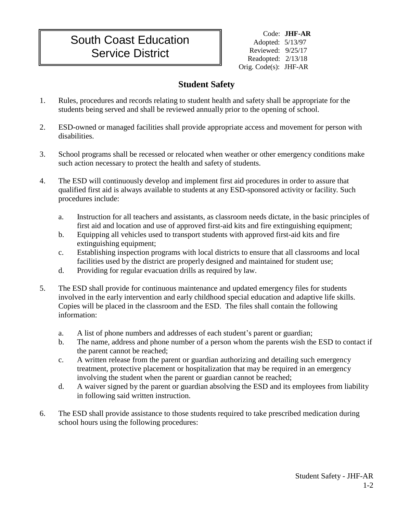## South Coast Education Service District

Code: **JHF-AR** Adopted: 5/13/97 Reviewed: 9/25/17 Readopted: 2/13/18 Orig. Code(s): JHF-AR

## **Student Safety**

- 1. Rules, procedures and records relating to student health and safety shall be appropriate for the students being served and shall be reviewed annually prior to the opening of school.
- 2. ESD-owned or managed facilities shall provide appropriate access and movement for person with disabilities.
- 3. School programs shall be recessed or relocated when weather or other emergency conditions make such action necessary to protect the health and safety of students.
- 4. The ESD will continuously develop and implement first aid procedures in order to assure that qualified first aid is always available to students at any ESD-sponsored activity or facility. Such procedures include:
	- a. Instruction for all teachers and assistants, as classroom needs dictate, in the basic principles of first aid and location and use of approved first-aid kits and fire extinguishing equipment;
	- b. Equipping all vehicles used to transport students with approved first-aid kits and fire extinguishing equipment;
	- c. Establishing inspection programs with local districts to ensure that all classrooms and local facilities used by the district are properly designed and maintained for student use;
	- d. Providing for regular evacuation drills as required by law.
- 5. The ESD shall provide for continuous maintenance and updated emergency files for students involved in the early intervention and early childhood special education and adaptive life skills. Copies will be placed in the classroom and the ESD. The files shall contain the following information:
	- a. A list of phone numbers and addresses of each student's parent or guardian;
	- b. The name, address and phone number of a person whom the parents wish the ESD to contact if the parent cannot be reached;
	- c. A written release from the parent or guardian authorizing and detailing such emergency treatment, protective placement or hospitalization that may be required in an emergency involving the student when the parent or guardian cannot be reached;
	- d. A waiver signed by the parent or guardian absolving the ESD and its employees from liability in following said written instruction.
- 6. The ESD shall provide assistance to those students required to take prescribed medication during school hours using the following procedures: